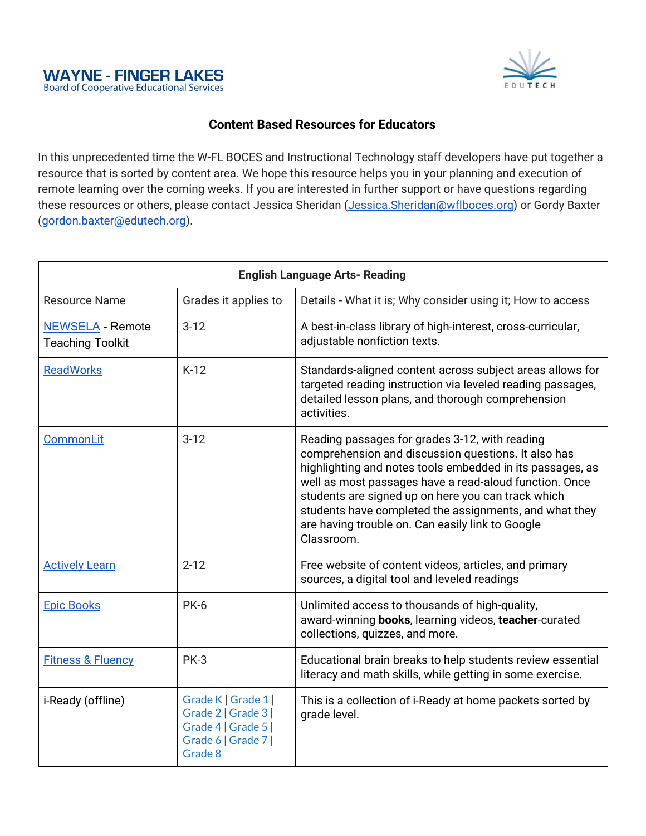



## **Content Based Resources for Educators**

In this unprecedented time the W-FL BOCES and Instructional Technology staff developers have put together a resource that is sorted by content area. We hope this resource helps you in your planning and execution of remote learning over the coming weeks. If you are interested in further support or have questions regarding these resources or others, please contact Jessica Sheridan [\(Jessica.Sheridan@wflboces.org\)](mailto:Jessica.Sheridan@wflboces.org) or Gordy Baxter ([gordon.baxter@edutech.org](mailto:gordon.baxter@edutech.org)).

| <b>English Language Arts- Reading</b>              |                                                                                                     |                                                                                                                                                                                                                                                                                                                                                                                                                |
|----------------------------------------------------|-----------------------------------------------------------------------------------------------------|----------------------------------------------------------------------------------------------------------------------------------------------------------------------------------------------------------------------------------------------------------------------------------------------------------------------------------------------------------------------------------------------------------------|
| <b>Resource Name</b>                               | Grades it applies to                                                                                | Details - What it is; Why consider using it; How to access                                                                                                                                                                                                                                                                                                                                                     |
| <b>NEWSELA - Remote</b><br><b>Teaching Toolkit</b> | $3-12$                                                                                              | A best-in-class library of high-interest, cross-curricular,<br>adjustable nonfiction texts.                                                                                                                                                                                                                                                                                                                    |
| <b>ReadWorks</b>                                   | $K-12$                                                                                              | Standards-aligned content across subject areas allows for<br>targeted reading instruction via leveled reading passages,<br>detailed lesson plans, and thorough comprehension<br>activities.                                                                                                                                                                                                                    |
| CommonLit                                          | $3-12$                                                                                              | Reading passages for grades 3-12, with reading<br>comprehension and discussion questions. It also has<br>highlighting and notes tools embedded in its passages, as<br>well as most passages have a read-aloud function. Once<br>students are signed up on here you can track which<br>students have completed the assignments, and what they<br>are having trouble on. Can easily link to Google<br>Classroom. |
| <b>Actively Learn</b>                              | $2 - 12$                                                                                            | Free website of content videos, articles, and primary<br>sources, a digital tool and leveled readings                                                                                                                                                                                                                                                                                                          |
| <b>Epic Books</b>                                  | <b>PK-6</b>                                                                                         | Unlimited access to thousands of high-quality,<br>award-winning books, learning videos, teacher-curated<br>collections, quizzes, and more.                                                                                                                                                                                                                                                                     |
| <b>Fitness &amp; Fluency</b>                       | <b>PK-3</b>                                                                                         | Educational brain breaks to help students review essential<br>literacy and math skills, while getting in some exercise.                                                                                                                                                                                                                                                                                        |
| i-Ready (offline)                                  | Grade K   Grade 1  <br>Grade 2   Grade 3  <br>Grade 4   Grade 5  <br>Grade 6   Grade 7  <br>Grade 8 | This is a collection of i-Ready at home packets sorted by<br>grade level.                                                                                                                                                                                                                                                                                                                                      |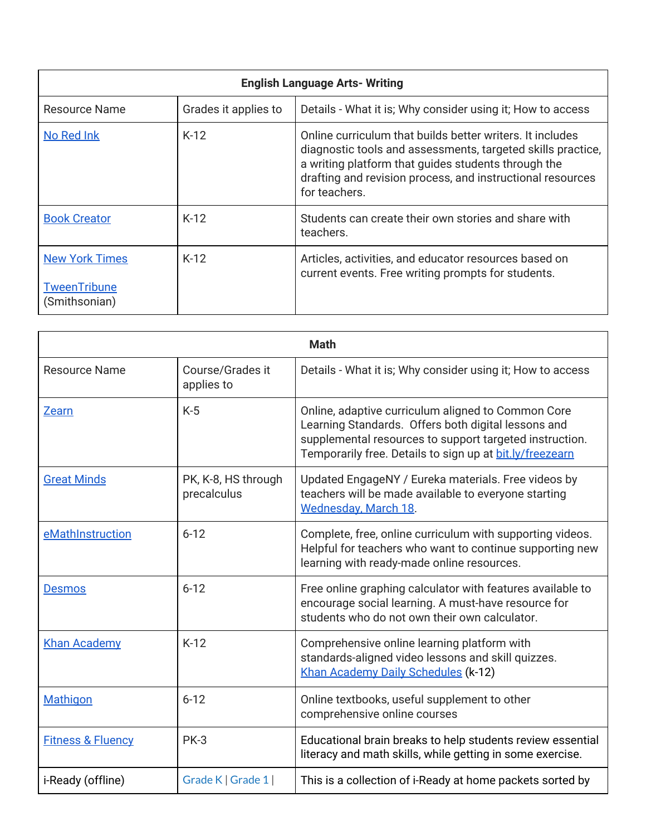| <b>English Language Arts- Writing</b>                         |                      |                                                                                                                                                                                                                                                                |
|---------------------------------------------------------------|----------------------|----------------------------------------------------------------------------------------------------------------------------------------------------------------------------------------------------------------------------------------------------------------|
| <b>Resource Name</b>                                          | Grades it applies to | Details - What it is; Why consider using it; How to access                                                                                                                                                                                                     |
| No Red Ink                                                    | $K-12$               | Online curriculum that builds better writers. It includes<br>diagnostic tools and assessments, targeted skills practice,<br>a writing platform that quides students through the<br>drafting and revision process, and instructional resources<br>for teachers. |
| <b>Book Creator</b>                                           | $K-12$               | Students can create their own stories and share with<br>teachers.                                                                                                                                                                                              |
| <b>New York Times</b><br><b>TweenTribune</b><br>(Smithsonian) | $K-12$               | Articles, activities, and educator resources based on<br>current events. Free writing prompts for students.                                                                                                                                                    |

| <b>Math</b>                  |                                    |                                                                                                                                                                                                                                  |
|------------------------------|------------------------------------|----------------------------------------------------------------------------------------------------------------------------------------------------------------------------------------------------------------------------------|
| <b>Resource Name</b>         | Course/Grades it<br>applies to     | Details - What it is; Why consider using it; How to access                                                                                                                                                                       |
| <b>Zearn</b>                 | $K-5$                              | Online, adaptive curriculum aligned to Common Core<br>Learning Standards. Offers both digital lessons and<br>supplemental resources to support targeted instruction.<br>Temporarily free. Details to sign up at bit.ly/freezearn |
| <b>Great Minds</b>           | PK, K-8, HS through<br>precalculus | Updated EngageNY / Eureka materials. Free videos by<br>teachers will be made available to everyone starting<br><b>Wednesday, March 18.</b>                                                                                       |
| eMathInstruction             | $6 - 12$                           | Complete, free, online curriculum with supporting videos.<br>Helpful for teachers who want to continue supporting new<br>learning with ready-made online resources.                                                              |
| <b>Desmos</b>                | $6 - 12$                           | Free online graphing calculator with features available to<br>encourage social learning. A must-have resource for<br>students who do not own their own calculator.                                                               |
| <b>Khan Academy</b>          | $K-12$                             | Comprehensive online learning platform with<br>standards-aligned video lessons and skill quizzes.<br>Khan Academy Daily Schedules (k-12)                                                                                         |
| <b>Mathigon</b>              | $6 - 12$                           | Online textbooks, useful supplement to other<br>comprehensive online courses                                                                                                                                                     |
| <b>Fitness &amp; Fluency</b> | <b>PK-3</b>                        | Educational brain breaks to help students review essential<br>literacy and math skills, while getting in some exercise.                                                                                                          |
| i-Ready (offline)            | Grade K   Grade 1                  | This is a collection of i-Ready at home packets sorted by                                                                                                                                                                        |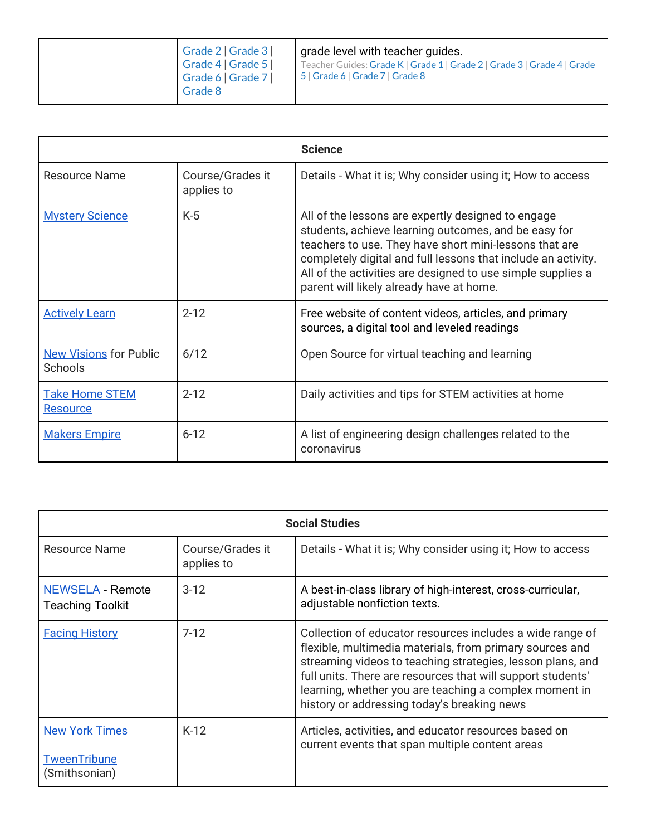| Grade 8 |
|---------|
|---------|

|                                          |                                | <b>Science</b>                                                                                                                                                                                                                                                                                                                                   |
|------------------------------------------|--------------------------------|--------------------------------------------------------------------------------------------------------------------------------------------------------------------------------------------------------------------------------------------------------------------------------------------------------------------------------------------------|
| <b>Resource Name</b>                     | Course/Grades it<br>applies to | Details - What it is; Why consider using it; How to access                                                                                                                                                                                                                                                                                       |
| <b>Mystery Science</b>                   | $K-5$                          | All of the lessons are expertly designed to engage<br>students, achieve learning outcomes, and be easy for<br>teachers to use. They have short mini-lessons that are<br>completely digital and full lessons that include an activity.<br>All of the activities are designed to use simple supplies a<br>parent will likely already have at home. |
| <b>Actively Learn</b>                    | $2 - 12$                       | Free website of content videos, articles, and primary<br>sources, a digital tool and leveled readings                                                                                                                                                                                                                                            |
| <b>New Visions for Public</b><br>Schools | 6/12                           | Open Source for virtual teaching and learning                                                                                                                                                                                                                                                                                                    |
| <b>Take Home STEM</b><br><b>Resource</b> | $2 - 12$                       | Daily activities and tips for STEM activities at home                                                                                                                                                                                                                                                                                            |
| <b>Makers Empire</b>                     | $6 - 12$                       | A list of engineering design challenges related to the<br>coronavirus                                                                                                                                                                                                                                                                            |

| <b>Social Studies</b>                                         |                                |                                                                                                                                                                                                                                                                                                                                                             |
|---------------------------------------------------------------|--------------------------------|-------------------------------------------------------------------------------------------------------------------------------------------------------------------------------------------------------------------------------------------------------------------------------------------------------------------------------------------------------------|
| <b>Resource Name</b>                                          | Course/Grades it<br>applies to | Details - What it is; Why consider using it; How to access                                                                                                                                                                                                                                                                                                  |
| <b>NEWSELA - Remote</b><br><b>Teaching Toolkit</b>            | $3-12$                         | A best-in-class library of high-interest, cross-curricular,<br>adjustable nonfiction texts.                                                                                                                                                                                                                                                                 |
| <b>Facing History</b>                                         | $7-12$                         | Collection of educator resources includes a wide range of<br>flexible, multimedia materials, from primary sources and<br>streaming videos to teaching strategies, lesson plans, and<br>full units. There are resources that will support students'<br>learning, whether you are teaching a complex moment in<br>history or addressing today's breaking news |
| <b>New York Times</b><br><b>TweenTribune</b><br>(Smithsonian) | $K-12$                         | Articles, activities, and educator resources based on<br>current events that span multiple content areas                                                                                                                                                                                                                                                    |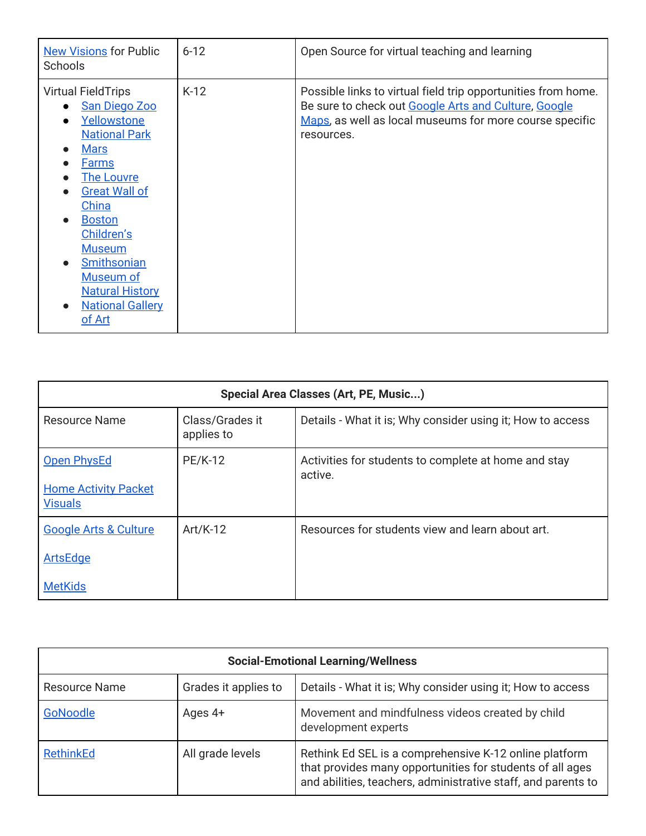| <b>New Visions for Public</b><br>Schools                                                                                                                                                                                                                                                                                                                                                                      | $6 - 12$ | Open Source for virtual teaching and learning                                                                                                                                                  |
|---------------------------------------------------------------------------------------------------------------------------------------------------------------------------------------------------------------------------------------------------------------------------------------------------------------------------------------------------------------------------------------------------------------|----------|------------------------------------------------------------------------------------------------------------------------------------------------------------------------------------------------|
| <b>Virtual FieldTrips</b><br><b>San Diego Zoo</b><br>$\bullet$<br>Yellowstone<br>$\bullet$<br><b>National Park</b><br><b>Mars</b><br>$\bullet$<br><b>Farms</b><br><b>The Louvre</b><br><b>Great Wall of</b><br>China<br><b>Boston</b><br>$\bullet$<br>Children's<br><b>Museum</b><br><b>Smithsonian</b><br>$\bullet$<br>Museum of<br><b>Natural History</b><br><b>National Gallery</b><br>$\bullet$<br>of Art | $K-12$   | Possible links to virtual field trip opportunities from home.<br>Be sure to check out Google Arts and Culture, Google<br>Maps, as well as local museums for more course specific<br>resources. |

| Special Area Classes (Art, PE, Music)         |                               |                                                                 |
|-----------------------------------------------|-------------------------------|-----------------------------------------------------------------|
| Resource Name                                 | Class/Grades it<br>applies to | Details - What it is; Why consider using it; How to access      |
| Open PhysEd                                   | <b>PE/K-12</b>                | Activities for students to complete at home and stay<br>active. |
| <b>Home Activity Packet</b><br><b>Visuals</b> |                               |                                                                 |
| <b>Google Arts &amp; Culture</b>              | $Art/K-12$                    | Resources for students view and learn about art.                |
| ArtsEdge                                      |                               |                                                                 |
| <b>MetKids</b>                                |                               |                                                                 |

| <b>Social-Emotional Learning/Wellness</b> |                      |                                                                                                                                                                                      |
|-------------------------------------------|----------------------|--------------------------------------------------------------------------------------------------------------------------------------------------------------------------------------|
| <b>Resource Name</b>                      | Grades it applies to | Details - What it is; Why consider using it; How to access                                                                                                                           |
| GoNoodle                                  | Ages $4+$            | Movement and mindfulness videos created by child<br>development experts                                                                                                              |
| <b>RethinkEd</b>                          | All grade levels     | Rethink Ed SEL is a comprehensive K-12 online platform<br>that provides many opportunities for students of all ages<br>and abilities, teachers, administrative staff, and parents to |